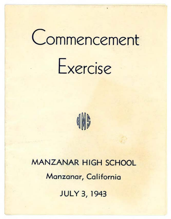# Commencement





**MANZANAR HIGH SCHOOL Manzanar, California JULY 3, 1943**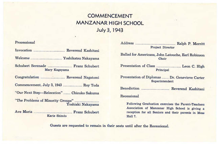# **COMMENCEMENT MANZANAR HIGH SCHOOL July 3, 1943**

Processional Invocation .................................... Reverend Kashitani Welcome .................................... Yoshikatsu Nakayama Schubert Serenade ............................ Franz Schubert Mary Kageyama Congratulation ............................ Reverend Nagatomi Commencement, July 3, 1943 ...................... Roy Toda "Our Next Step-Relocation" ........ Chizuko Sakuma "The Problems of Minority Groups" ........................... . Yoshiaki Nakayama Ave Maria ............................................ Franz Schubert **Karie** Shindo

| <b>Project Director</b>                                                                                                                                      |  |  |  |
|--------------------------------------------------------------------------------------------------------------------------------------------------------------|--|--|--|
| Ballad for Americans, John Latouche, Earl Robinson<br>Choir                                                                                                  |  |  |  |
| Principal                                                                                                                                                    |  |  |  |
| Presentation of Diplomas  Dr. Genevieve Carter<br>Superintendent                                                                                             |  |  |  |
|                                                                                                                                                              |  |  |  |
| Recessional                                                                                                                                                  |  |  |  |
| Following Graduation exercises the Parent-Teachers<br>Association of Manzanar High School is giving a<br>reception for all Seniors and their parents in Mess |  |  |  |

Guests are requested to remain in their seats until after the Recessional.

Hall 7.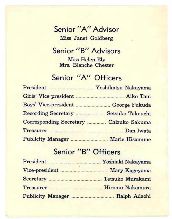#### **Senior "A" Advisor**  Miss Janet Goldberg

## **Senior "B" Advisors**

Miss Helen Ely Mrs. Blanche Chester

### **Senior "A'' Officers**

|                                     | Yoshikatsu Nakayama |
|-------------------------------------|---------------------|
|                                     |                     |
| Boys' Vice-president  George Fukuda |                     |
| Recording Secretary                 | Setsuko Takeuchi    |
| Corresponding Secretary             | Chizuko Sakuma      |
|                                     |                     |
|                                     |                     |

#### **Senior "B" Officers**

| President                | Yoshiaki Nakayama |
|--------------------------|-------------------|
|                          | Mary Kageyama     |
|                          | Tetsuko Murakami  |
| Treasurer                | Hiromu Nakamura   |
| <b>Publicity Manager</b> | Ralph Adachi      |